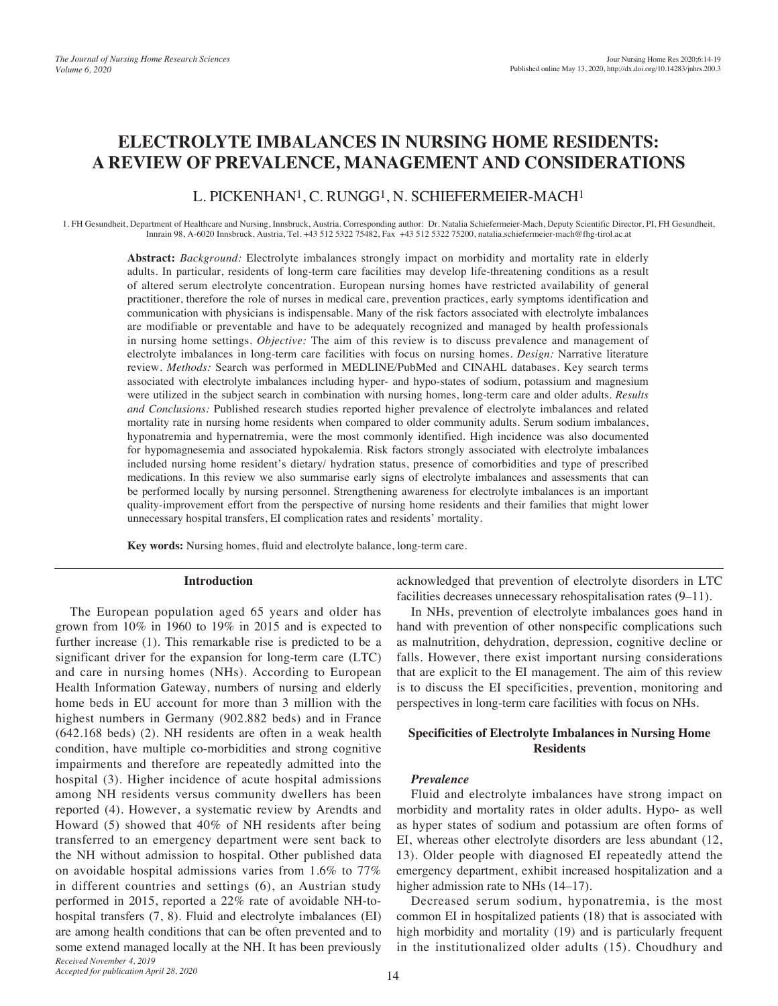# **ELECTROLYTE IMBALANCES IN NURSING HOME RESIDENTS: A REVIEW OF PREVALENCE, MANAGEMENT AND CONSIDERATIONS**

# L. PICKENHAN1, C. RUNGG1, N. SCHIEFERMEIER-MACH1

1. FH Gesundheit, Department of Healthcare and Nursing, Innsbruck, Austria. Corresponding author: Dr. Natalia Schiefermeier-Mach, Deputy Scientific Director, PI, FH Gesundheit, Innrain 98, A-6020 Innsbruck, Austria, Tel. +43 512 5322 75482, Fax +43 512 5322 75200, natalia.schiefermeier-mach@fhg-tirol.ac.at

**Abstract:** *Background:* Electrolyte imbalances strongly impact on morbidity and mortality rate in elderly adults. In particular, residents of long-term care facilities may develop life-threatening conditions as a result of altered serum electrolyte concentration. European nursing homes have restricted availability of general practitioner, therefore the role of nurses in medical care, prevention practices, early symptoms identification and communication with physicians is indispensable. Many of the risk factors associated with electrolyte imbalances are modifiable or preventable and have to be adequately recognized and managed by health professionals in nursing home settings. *Objective:* The aim of this review is to discuss prevalence and management of electrolyte imbalances in long-term care facilities with focus on nursing homes. *Design:* Narrative literature review. *Methods:* Search was performed in MEDLINE/PubMed and CINAHL databases. Key search terms associated with electrolyte imbalances including hyper- and hypo-states of sodium, potassium and magnesium were utilized in the subject search in combination with nursing homes, long-term care and older adults. *Results and Conclusions:* Published research studies reported higher prevalence of electrolyte imbalances and related mortality rate in nursing home residents when compared to older community adults. Serum sodium imbalances, hyponatremia and hypernatremia, were the most commonly identified. High incidence was also documented for hypomagnesemia and associated hypokalemia. Risk factors strongly associated with electrolyte imbalances included nursing home resident's dietary/ hydration status, presence of comorbidities and type of prescribed medications. In this review we also summarise early signs of electrolyte imbalances and assessments that can be performed locally by nursing personnel. Strengthening awareness for electrolyte imbalances is an important quality-improvement effort from the perspective of nursing home residents and their families that might lower unnecessary hospital transfers, EI complication rates and residents' mortality.

**Key words:** Nursing homes, fluid and electrolyte balance, long-term care.

#### **Introduction**

The European population aged 65 years and older has grown from 10% in 1960 to 19% in 2015 and is expected to further increase (1). This remarkable rise is predicted to be a significant driver for the expansion for long-term care (LTC) and care in nursing homes (NHs). According to European Health Information Gateway, numbers of nursing and elderly home beds in EU account for more than 3 million with the highest numbers in Germany (902.882 beds) and in France (642.168 beds) (2). NH residents are often in a weak health condition, have multiple co-morbidities and strong cognitive impairments and therefore are repeatedly admitted into the hospital (3). Higher incidence of acute hospital admissions among NH residents versus community dwellers has been reported (4). However, a systematic review by Arendts and Howard (5) showed that 40% of NH residents after being transferred to an emergency department were sent back to the NH without admission to hospital. Other published data on avoidable hospital admissions varies from 1.6% to 77% in different countries and settings (6), an Austrian study performed in 2015, reported a 22% rate of avoidable NH-tohospital transfers (7, 8). Fluid and electrolyte imbalances (EI) are among health conditions that can be often prevented and to some extend managed locally at the NH. It has been previously *Received November 4, 2019*

acknowledged that prevention of electrolyte disorders in LTC facilities decreases unnecessary rehospitalisation rates (9–11).

In NHs, prevention of electrolyte imbalances goes hand in hand with prevention of other nonspecific complications such as malnutrition, dehydration, depression, cognitive decline or falls. However, there exist important nursing considerations that are explicit to the EI management. The aim of this review is to discuss the EI specificities, prevention, monitoring and perspectives in long-term care facilities with focus on NHs.

## **Specificities of Electrolyte Imbalances in Nursing Home Residents**

#### *Prevalence*

Fluid and electrolyte imbalances have strong impact on morbidity and mortality rates in older adults. Hypo- as well as hyper states of sodium and potassium are often forms of EI, whereas other electrolyte disorders are less abundant (12, 13). Older people with diagnosed EI repeatedly attend the emergency department, exhibit increased hospitalization and a higher admission rate to NHs  $(14–17)$ .

Decreased serum sodium, hyponatremia, is the most common EI in hospitalized patients (18) that is associated with high morbidity and mortality (19) and is particularly frequent in the institutionalized older adults (15). Choudhury and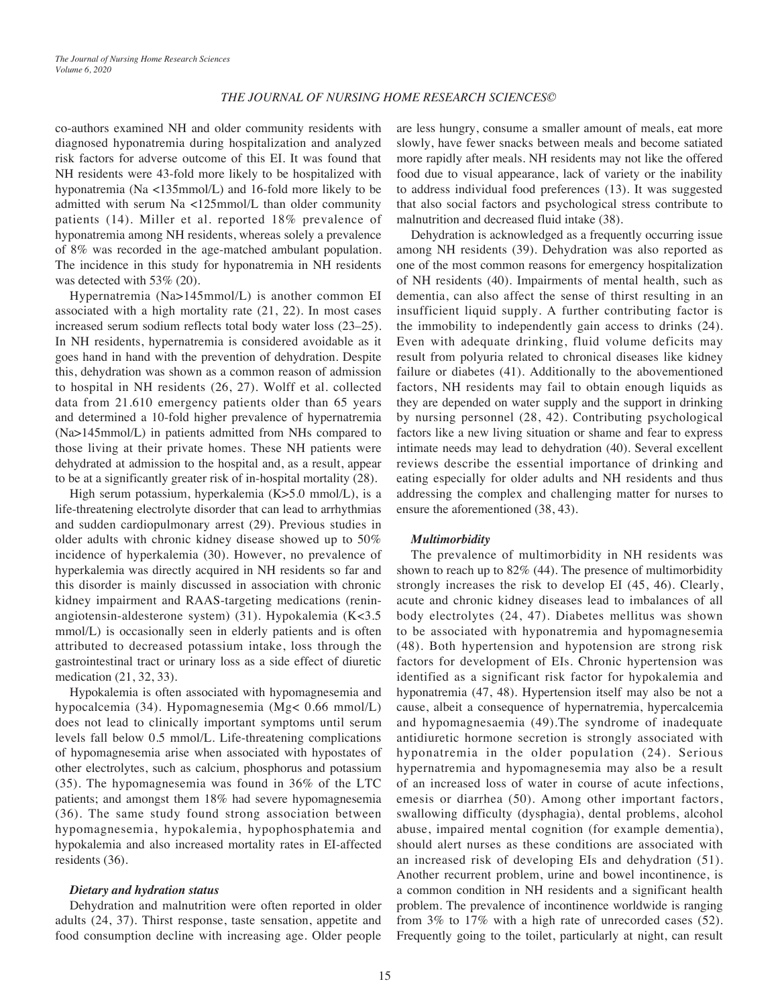### *THE JOURNAL OF NURSING HOME RESEARCH SCIENCES©*

co-authors examined NH and older community residents with diagnosed hyponatremia during hospitalization and analyzed risk factors for adverse outcome of this EI. It was found that NH residents were 43-fold more likely to be hospitalized with hyponatremia (Na <135mmol/L) and 16-fold more likely to be admitted with serum Na <125mmol/L than older community patients (14). Miller et al. reported 18% prevalence of hyponatremia among NH residents, whereas solely a prevalence of 8% was recorded in the age-matched ambulant population. The incidence in this study for hyponatremia in NH residents was detected with 53% (20).

Hypernatremia (Na>145mmol/L) is another common EI associated with a high mortality rate (21, 22). In most cases increased serum sodium reflects total body water loss (23–25). In NH residents, hypernatremia is considered avoidable as it goes hand in hand with the prevention of dehydration. Despite this, dehydration was shown as a common reason of admission to hospital in NH residents (26, 27). Wolff et al. collected data from 21.610 emergency patients older than 65 years and determined a 10-fold higher prevalence of hypernatremia (Na>145mmol/L) in patients admitted from NHs compared to those living at their private homes. These NH patients were dehydrated at admission to the hospital and, as a result, appear to be at a significantly greater risk of in-hospital mortality (28).

High serum potassium, hyperkalemia (K>5.0 mmol/L), is a life-threatening electrolyte disorder that can lead to arrhythmias and sudden cardiopulmonary arrest (29). Previous studies in older adults with chronic kidney disease showed up to 50% incidence of hyperkalemia (30). However, no prevalence of hyperkalemia was directly acquired in NH residents so far and this disorder is mainly discussed in association with chronic kidney impairment and RAAS-targeting medications (reninangiotensin-aldesterone system) (31). Hypokalemia (K<3.5 mmol/L) is occasionally seen in elderly patients and is often attributed to decreased potassium intake, loss through the gastrointestinal tract or urinary loss as a side effect of diuretic medication (21, 32, 33).

Hypokalemia is often associated with hypomagnesemia and hypocalcemia (34). Hypomagnesemia (Mg< 0.66 mmol/L) does not lead to clinically important symptoms until serum levels fall below 0.5 mmol/L. Life-threatening complications of hypomagnesemia arise when associated with hypostates of other electrolytes, such as calcium, phosphorus and potassium (35). The hypomagnesemia was found in 36% of the LTC patients; and amongst them 18% had severe hypomagnesemia (36). The same study found strong association between hypomagnesemia, hypokalemia, hypophosphatemia and hypokalemia and also increased mortality rates in EI-affected residents (36).

#### *Dietary and hydration status*

Dehydration and malnutrition were often reported in older adults (24, 37). Thirst response, taste sensation, appetite and food consumption decline with increasing age. Older people

are less hungry, consume a smaller amount of meals, eat more slowly, have fewer snacks between meals and become satiated more rapidly after meals. NH residents may not like the offered food due to visual appearance, lack of variety or the inability to address individual food preferences (13). It was suggested that also social factors and psychological stress contribute to malnutrition and decreased fluid intake (38).

Dehydration is acknowledged as a frequently occurring issue among NH residents (39). Dehydration was also reported as one of the most common reasons for emergency hospitalization of NH residents (40). Impairments of mental health, such as dementia, can also affect the sense of thirst resulting in an insufficient liquid supply. A further contributing factor is the immobility to independently gain access to drinks (24). Even with adequate drinking, fluid volume deficits may result from polyuria related to chronical diseases like kidney failure or diabetes (41). Additionally to the abovementioned factors, NH residents may fail to obtain enough liquids as they are depended on water supply and the support in drinking by nursing personnel (28, 42). Contributing psychological factors like a new living situation or shame and fear to express intimate needs may lead to dehydration (40). Several excellent reviews describe the essential importance of drinking and eating especially for older adults and NH residents and thus addressing the complex and challenging matter for nurses to ensure the aforementioned (38, 43).

#### *Multimorbidity*

The prevalence of multimorbidity in NH residents was shown to reach up to 82% (44). The presence of multimorbidity strongly increases the risk to develop EI (45, 46). Clearly, acute and chronic kidney diseases lead to imbalances of all body electrolytes (24, 47). Diabetes mellitus was shown to be associated with hyponatremia and hypomagnesemia (48). Both hypertension and hypotension are strong risk factors for development of EIs. Chronic hypertension was identified as a significant risk factor for hypokalemia and hyponatremia (47, 48). Hypertension itself may also be not a cause, albeit a consequence of hypernatremia, hypercalcemia and hypomagnesaemia (49).The syndrome of inadequate antidiuretic hormone secretion is strongly associated with hyponatremia in the older population (24). Serious hypernatremia and hypomagnesemia may also be a result of an increased loss of water in course of acute infections, emesis or diarrhea (50). Among other important factors, swallowing difficulty (dysphagia), dental problems, alcohol abuse, impaired mental cognition (for example dementia), should alert nurses as these conditions are associated with an increased risk of developing EIs and dehydration (51). Another recurrent problem, urine and bowel incontinence, is a common condition in NH residents and a significant health problem. The prevalence of incontinence worldwide is ranging from 3% to 17% with a high rate of unrecorded cases (52). Frequently going to the toilet, particularly at night, can result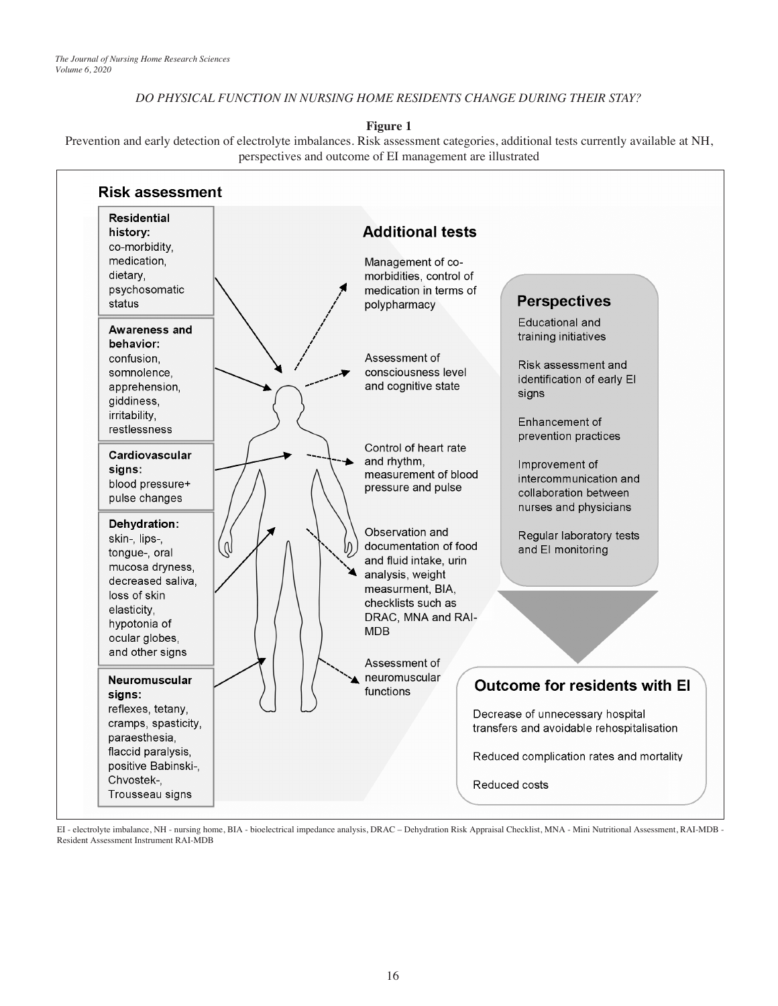## *DO PHYSICAL FUNCTION IN NURSING HOME RESIDENTS CHANGE DURING THEIR STAY?*

**Figure 1**

Prevention and early detection of electrolyte imbalances. Risk assessment categories, additional tests currently available at NH, perspectives and outcome of EI management are illustrated



EI - electrolyte imbalance, NH - nursing home, BIA - bioelectrical impedance analysis, DRAC – Dehydration Risk Appraisal Checklist, MNA - Mini Nutritional Assessment, RAI-MDB - Resident Assessment Instrument RAI-MDB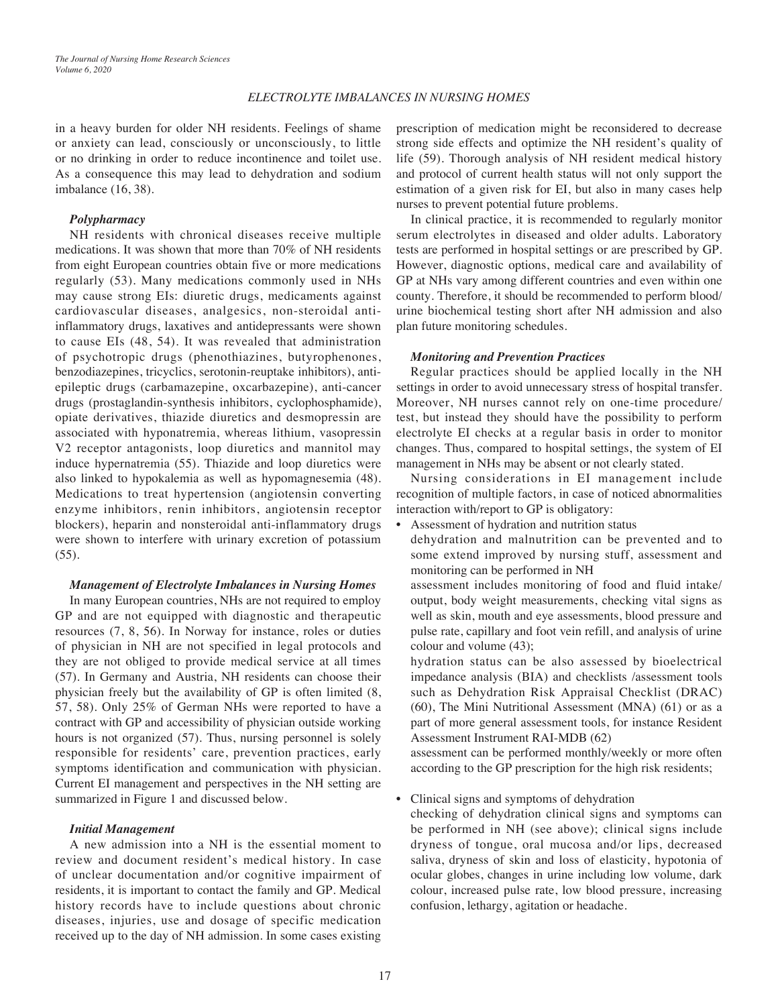### *ELECTROLYTE IMBALANCES IN NURSING HOMES*

in a heavy burden for older NH residents. Feelings of shame or anxiety can lead, consciously or unconsciously, to little or no drinking in order to reduce incontinence and toilet use. As a consequence this may lead to dehydration and sodium imbalance (16, 38).

#### *Polypharmacy*

NH residents with chronical diseases receive multiple medications. It was shown that more than 70% of NH residents from eight European countries obtain five or more medications regularly (53). Many medications commonly used in NHs may cause strong EIs: diuretic drugs, medicaments against cardiovascular diseases, analgesics, non-steroidal antiinflammatory drugs, laxatives and antidepressants were shown to cause EIs (48, 54). It was revealed that administration of psychotropic drugs (phenothiazines, butyrophenones, benzodiazepines, tricyclics, serotonin-reuptake inhibitors), antiepileptic drugs (carbamazepine, oxcarbazepine), anti-cancer drugs (prostaglandin-synthesis inhibitors, cyclophosphamide), opiate derivatives, thiazide diuretics and desmopressin are associated with hyponatremia, whereas lithium, vasopressin V2 receptor antagonists, loop diuretics and mannitol may induce hypernatremia (55). Thiazide and loop diuretics were also linked to hypokalemia as well as hypomagnesemia (48). Medications to treat hypertension (angiotensin converting enzyme inhibitors, renin inhibitors, angiotensin receptor blockers), heparin and nonsteroidal anti-inflammatory drugs were shown to interfere with urinary excretion of potassium (55).

#### *Management of Electrolyte Imbalances in Nursing Homes*

In many European countries, NHs are not required to employ GP and are not equipped with diagnostic and therapeutic resources (7, 8, 56). In Norway for instance, roles or duties of physician in NH are not specified in legal protocols and they are not obliged to provide medical service at all times (57). In Germany and Austria, NH residents can choose their physician freely but the availability of GP is often limited (8, 57, 58). Only 25% of German NHs were reported to have a contract with GP and accessibility of physician outside working hours is not organized  $(57)$ . Thus, nursing personnel is solely responsible for residents' care, prevention practices, early symptoms identification and communication with physician. Current EI management and perspectives in the NH setting are summarized in Figure 1 and discussed below.

### *Initial Management*

A new admission into a NH is the essential moment to review and document resident's medical history. In case of unclear documentation and/or cognitive impairment of residents, it is important to contact the family and GP. Medical history records have to include questions about chronic diseases, injuries, use and dosage of specific medication received up to the day of NH admission. In some cases existing

prescription of medication might be reconsidered to decrease strong side effects and optimize the NH resident's quality of life (59). Thorough analysis of NH resident medical history and protocol of current health status will not only support the estimation of a given risk for EI, but also in many cases help nurses to prevent potential future problems.

In clinical practice, it is recommended to regularly monitor serum electrolytes in diseased and older adults. Laboratory tests are performed in hospital settings or are prescribed by GP. However, diagnostic options, medical care and availability of GP at NHs vary among different countries and even within one county. Therefore, it should be recommended to perform blood/ urine biochemical testing short after NH admission and also plan future monitoring schedules.

#### *Monitoring and Prevention Practices*

Regular practices should be applied locally in the NH settings in order to avoid unnecessary stress of hospital transfer. Moreover, NH nurses cannot rely on one-time procedure/ test, but instead they should have the possibility to perform electrolyte EI checks at a regular basis in order to monitor changes. Thus, compared to hospital settings, the system of EI management in NHs may be absent or not clearly stated.

Nursing considerations in EI management include recognition of multiple factors, in case of noticed abnormalities interaction with/report to GP is obligatory:

- Assessment of hydration and nutrition status
- dehydration and malnutrition can be prevented and to some extend improved by nursing stuff, assessment and monitoring can be performed in NH

assessment includes monitoring of food and fluid intake/ output, body weight measurements, checking vital signs as well as skin, mouth and eye assessments, blood pressure and pulse rate, capillary and foot vein refill, and analysis of urine colour and volume (43);

hydration status can be also assessed by bioelectrical impedance analysis (BIA) and checklists /assessment tools such as Dehydration Risk Appraisal Checklist (DRAC) (60), The Mini Nutritional Assessment (MNA) (61) or as a part of more general assessment tools, for instance Resident Assessment Instrument RAI-MDB (62)

assessment can be performed monthly/weekly or more often according to the GP prescription for the high risk residents;

• Clinical signs and symptoms of dehydration

checking of dehydration clinical signs and symptoms can be performed in NH (see above); clinical signs include dryness of tongue, oral mucosa and/or lips, decreased saliva, dryness of skin and loss of elasticity, hypotonia of ocular globes, changes in urine including low volume, dark colour, increased pulse rate, low blood pressure, increasing confusion, lethargy, agitation or headache.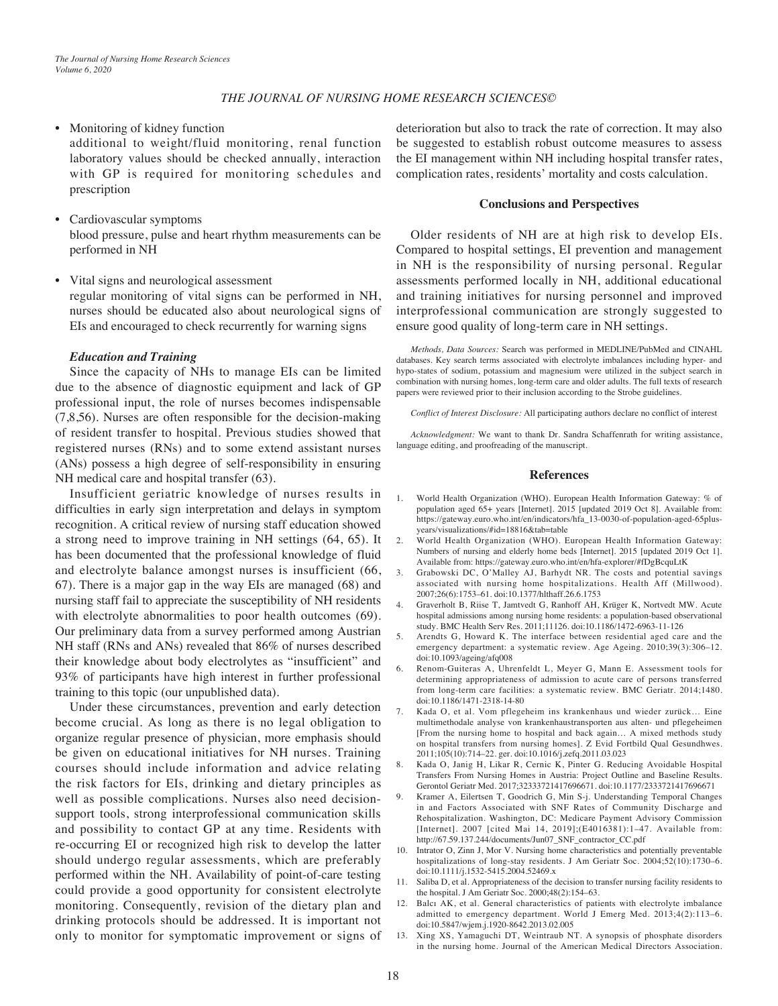#### *THE JOURNAL OF NURSING HOME RESEARCH SCIENCES©*

# • Monitoring of kidney function

additional to weight/fluid monitoring, renal function laboratory values should be checked annually, interaction with GP is required for monitoring schedules and prescription

- Cardiovascular symptoms blood pressure, pulse and heart rhythm measurements can be performed in NH
- Vital signs and neurological assessment regular monitoring of vital signs can be performed in NH, nurses should be educated also about neurological signs of EIs and encouraged to check recurrently for warning signs

#### *Education and Training*

Since the capacity of NHs to manage EIs can be limited due to the absence of diagnostic equipment and lack of GP professional input, the role of nurses becomes indispensable (7,8,56). Nurses are often responsible for the decision-making of resident transfer to hospital. Previous studies showed that registered nurses (RNs) and to some extend assistant nurses (ANs) possess a high degree of self-responsibility in ensuring NH medical care and hospital transfer (63).

Insufficient geriatric knowledge of nurses results in difficulties in early sign interpretation and delays in symptom recognition. A critical review of nursing staff education showed a strong need to improve training in NH settings (64, 65). It has been documented that the professional knowledge of fluid and electrolyte balance amongst nurses is insufficient (66, 67). There is a major gap in the way EIs are managed (68) and nursing staff fail to appreciate the susceptibility of NH residents with electrolyte abnormalities to poor health outcomes (69). Our preliminary data from a survey performed among Austrian NH staff (RNs and ANs) revealed that 86% of nurses described their knowledge about body electrolytes as "insufficient" and 93% of participants have high interest in further professional training to this topic (our unpublished data).

Under these circumstances, prevention and early detection become crucial. As long as there is no legal obligation to organize regular presence of physician, more emphasis should be given on educational initiatives for NH nurses. Training courses should include information and advice relating the risk factors for EIs, drinking and dietary principles as well as possible complications. Nurses also need decisionsupport tools, strong interprofessional communication skills and possibility to contact GP at any time. Residents with re-occurring EI or recognized high risk to develop the latter should undergo regular assessments, which are preferably performed within the NH. Availability of point-of-care testing could provide a good opportunity for consistent electrolyte monitoring. Consequently, revision of the dietary plan and drinking protocols should be addressed. It is important not only to monitor for symptomatic improvement or signs of deterioration but also to track the rate of correction. It may also be suggested to establish robust outcome measures to assess the EI management within NH including hospital transfer rates, complication rates, residents' mortality and costs calculation.

#### **Conclusions and Perspectives**

Older residents of NH are at high risk to develop EIs. Compared to hospital settings, EI prevention and management in NH is the responsibility of nursing personal. Regular assessments performed locally in NH, additional educational and training initiatives for nursing personnel and improved interprofessional communication are strongly suggested to ensure good quality of long-term care in NH settings.

*Methods, Data Sources:* Search was performed in MEDLINE/PubMed and CINAHL databases. Key search terms associated with electrolyte imbalances including hyper- and hypo-states of sodium, potassium and magnesium were utilized in the subject search in combination with nursing homes, long-term care and older adults. The full texts of research papers were reviewed prior to their inclusion according to the Strobe guidelines.

*Conflict of Interest Disclosure:* All participating authors declare no conflict of interest

*Acknowledgment:* We want to thank Dr. Sandra Schaffenrath for writing assistance, language editing, and proofreading of the manuscript.

#### **References**

- 1. World Health Organization (WHO). European Health Information Gateway: % of population aged 65+ years [Internet]. 2015 [updated 2019 Oct 8]. Available from: https://gateway.euro.who.int/en/indicators/hfa\_13-0030-of-population-aged-65plusyears/visualizations/#id=18816&tab=table
- 2. World Health Organization (WHO). European Health Information Gateway: Numbers of nursing and elderly home beds [Internet]. 2015 [updated 2019 Oct 1]. Available from: https://gateway.euro.who.int/en/hfa-explorer/#fDgBcquLtK
- 3. Grabowski DC, O'Malley AJ, Barhydt NR. The costs and potential savings associated with nursing home hospitalizations. Health Aff (Millwood). 2007;26(6):1753–61. doi:10.1377/hlthaff.26.6.1753
- 4. Graverholt B, Riise T, Jamtvedt G, Ranhoff AH, Krüger K, Nortvedt MW. Acute hospital admissions among nursing home residents: a population-based observational study. BMC Health Serv Res. 2011;11126. doi:10.1186/1472-6963-11-126
- 5. Arendts G, Howard K. The interface between residential aged care and the emergency department: a systematic review. Age Ageing. 2010;39(3):306–12. doi:10.1093/ageing/afq008
- 6. Renom-Guiteras A, Uhrenfeldt L, Meyer G, Mann E. Assessment tools for determining appropriateness of admission to acute care of persons transferred from long-term care facilities: a systematic review. BMC Geriatr. 2014;1480. doi:10.1186/1471-2318-14-80
- 7. Kada O, et al. Vom pflegeheim ins krankenhaus und wieder zurück… Eine multimethodale analyse von krankenhaustransporten aus alten- und pflegeheimen [From the nursing home to hospital and back again… A mixed methods study on hospital transfers from nursing homes]. Z Evid Fortbild Qual Gesundhwes. 2011;105(10):714–22. ger. doi:10.1016/j.zefq.2011.03.023
- 8. Kada O, Janig H, Likar R, Cernic K, Pinter G. Reducing Avoidable Hospital Transfers From Nursing Homes in Austria: Project Outline and Baseline Results. Gerontol Geriatr Med. 2017;32333721417696671. doi:10.1177/2333721417696671
- 9. Kramer A, Eilertsen T, Goodrich G, Min S-j. Understanding Temporal Changes in and Factors Associated with SNF Rates of Community Discharge and Rehospitalization. Washington, DC: Medicare Payment Advisory Commission [Internet]. 2007 [cited Mai 14, 2019];(E4016381):1–47. Available from: http://67.59.137.244/documents/Jun07\_SNF\_contractor\_CC.pdf
- 10. Intrator O, Zinn J, Mor V. Nursing home characteristics and potentially preventable hospitalizations of long-stay residents. J Am Geriatr Soc. 2004;52(10):1730–6. doi:10.1111/j.1532-5415.2004.52469.x
- 11. Saliba D, et al. Appropriateness of the decision to transfer nursing facility residents to the hospital. J Am Geriatr Soc. 2000;48(2):154–63.
- 12. Balcı AK, et al. General characteristics of patients with electrolyte imbalance admitted to emergency department. World J Emerg Med. 2013;4(2):113–6. doi:10.5847/wjem.j.1920-8642.2013.02.005
- 13. Xing XS, Yamaguchi DT, Weintraub NT. A synopsis of phosphate disorders in the nursing home. Journal of the American Medical Directors Association.